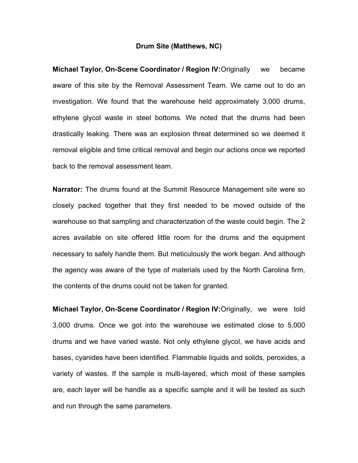## **Drum Site (Matthews, NC)**

**Michael Taylor, On-Scene Coordinator / Region IV: Originally we became** aware of this site by the Removal Assessment Team. We came out to do an investigation. We found that the warehouse held approximately 3,000 drums, ethylene glycol waste in steel bottoms. We noted that the drums had been drastically leaking. There was an explosion threat determined so we deemed it removal eligible and time critical removal and begin our actions once we reported back to the removal assessment team.

**Narrator:** The drums found at the Summit Resource Management site were so closely packed together that they first needed to be moved outside of the warehouse so that sampling and characterization of the waste could begin. The 2 acres available on site offered little room for the drums and the equipment necessary to safely handle them. But meticulously the work began. And although the agency was aware of the type of materials used by the North Carolina firm, the contents of the drums could not be taken for granted.

**Michael Taylor, On-Scene Coordinator / Region IV:** Originally, we were told 3,000 drums. Once we got into the warehouse we estimated close to 5,000 drums and we have varied waste. Not only ethylene glycol, we have acids and bases, cyanides have been identified. Flammable liquids and solids, peroxides, a variety of wastes. If the sample is multi-layered, which most of these samples are, each layer will be handle as a specific sample and it will be tested as such and run through the same parameters.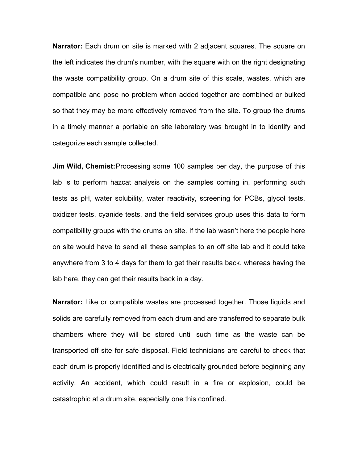**Narrator:** Each drum on site is marked with 2 adjacent squares. The square on the left indicates the drum's number, with the square with on the right designating the waste compatibility group. On a drum site of this scale, wastes, which are compatible and pose no problem when added together are combined or bulked so that they may be more effectively removed from the site. To group the drums in a timely manner a portable on site laboratory was brought in to identify and categorize each sample collected.

**Jim Wild, Chemist:** Processing some 100 samples per day, the purpose of this lab is to perform hazcat analysis on the samples coming in, performing such tests as pH, water solubility, water reactivity, screening for PCBs, glycol tests, oxidizer tests, cyanide tests, and the field services group uses this data to form compatibility groups with the drums on site. If the lab wasnít here the people here on site would have to send all these samples to an off site lab and it could take anywhere from 3 to 4 days for them to get their results back, whereas having the lab here, they can get their results back in a day.

**Narrator:** Like or compatible wastes are processed together. Those liquids and solids are carefully removed from each drum and are transferred to separate bulk chambers where they will be stored until such time as the waste can be transported off site for safe disposal. Field technicians are careful to check that each drum is properly identified and is electrically grounded before beginning any activity. An accident, which could result in a fire or explosion, could be catastrophic at a drum site, especially one this confined.